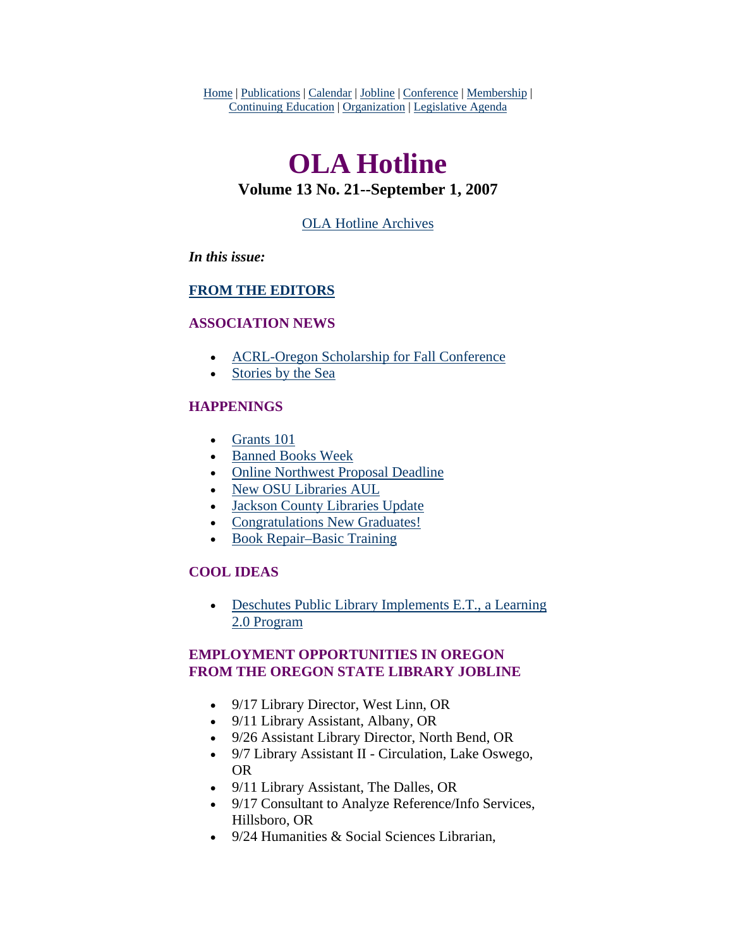<span id="page-0-0"></span>Home | Publications | Calendar | Jobline | Conference | Membership | Continuing Education | Organization | Legislative Agenda

# **OLA Hotline**

# **Volume 13 No. 21--September 1, 2007**

# [OLA Hotline Archives](http://olaweb.org/hotline/index.shtml)

### *In this issue:*

# **[FROM THE EDITORS](#page-1-0)**

### **ASSOCIATION NEWS**

- [ACRL-Oregon Scholarship for Fall Conference](#page-1-0)
- [Stories by the Sea](#page-2-0)

# **HAPPENINGS**

- [Grants 101](#page-3-0)
- [Banned Books Week](#page-4-0)
- [Online Northwest Proposal Deadline](#page-5-0)
- [New OSU Libraries AUL](#page-6-0)
- [Jackson County Libraries Update](#page-7-0)
- [Congratulations New Graduates!](#page-8-0)
- [Book Repair–Basic Training](#page-9-0)

# **COOL IDEAS**

• Deschutes Public Library Implements E.T., a Learning [2.0 Program](#page-9-0)

# **EMPLOYMENT OPPORTUNITIES IN OREGON FROM THE OREGON STATE LIBRARY JOBLINE**

- 9/17 Library Director, West Linn, OR
- 9/11 Library Assistant, Albany, OR
- 9/26 Assistant Library Director, North Bend, OR
- 9/7 Library Assistant II Circulation, Lake Oswego, OR
- 9/11 Library Assistant, The Dalles, OR
- 9/17 Consultant to Analyze Reference/Info Services, Hillsboro, OR
- 9/24 Humanities & Social Sciences Librarian.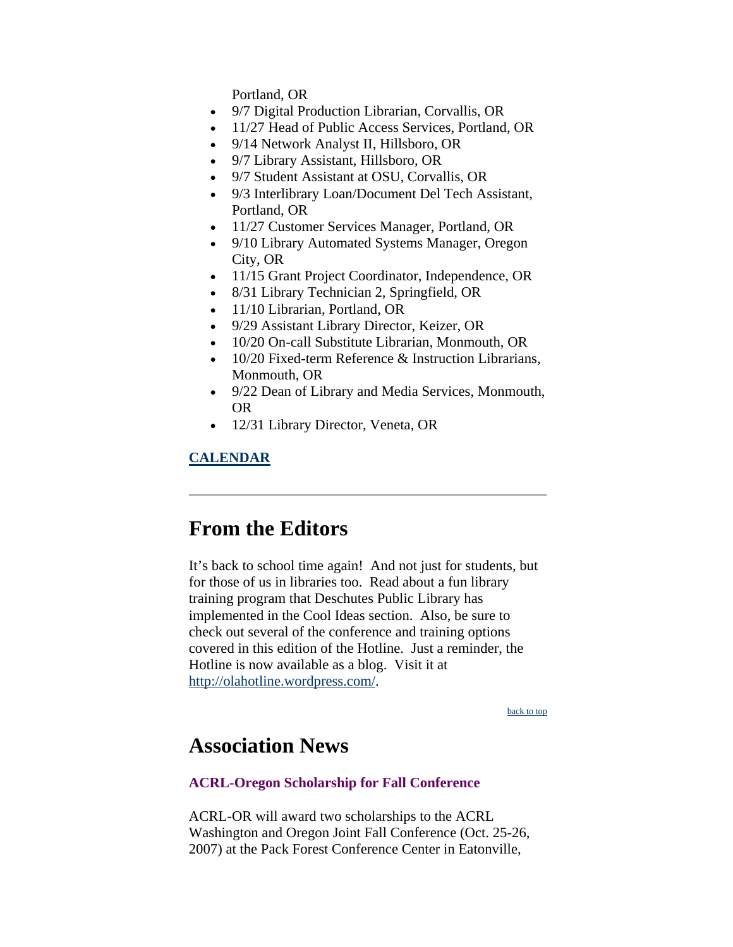Portland, OR

- <span id="page-1-0"></span>• 9/7 Digital Production Librarian, Corvallis, OR
- 11/27 Head of Public Access Services, Portland, OR
- 9/14 Network Analyst II, Hillsboro, OR
- 9/7 Library Assistant, Hillsboro, OR
- 9/7 Student Assistant at OSU, Corvallis, OR
- 9/3 Interlibrary Loan/Document Del Tech Assistant, Portland, OR
- 11/27 Customer Services Manager, Portland, OR
- 9/10 Library Automated Systems Manager, Oregon City, OR
- 11/15 Grant Project Coordinator, Independence, OR
- 8/31 Library Technician 2, Springfield, OR
- 11/10 Librarian, Portland, OR
- 9/29 Assistant Library Director, Keizer, OR
- 10/20 On-call Substitute Librarian, Monmouth, OR
- 10/20 Fixed-term Reference & Instruction Librarians. Monmouth, OR
- 9/22 Dean of Library and Media Services, Monmouth, OR
- 12/31 Library Director, Veneta, OR

# **CALENDAR**

# **From the Editors**

It's back to school time again! And not just for students, but for those of us in libraries too. Read about a fun library training program that Deschutes Public Library has implemented in the Cool Ideas section. Also, be sure to check out several of the conference and training options covered in this edition of the Hotline. Just a reminder, the Hotline is now available as a blog. Visit it at [http://olahotline.wordpress.com/.](http://olahotline.wordpress.com/)

[back to top](#page-0-0)

# **Association News**

# **ACRL-Oregon Scholarship for Fall Conference**

ACRL-OR will award two scholarships to the ACRL Washington and Oregon Joint Fall Conference (Oct. 25-26, 2007) at the Pack Forest Conference Center in Eatonville,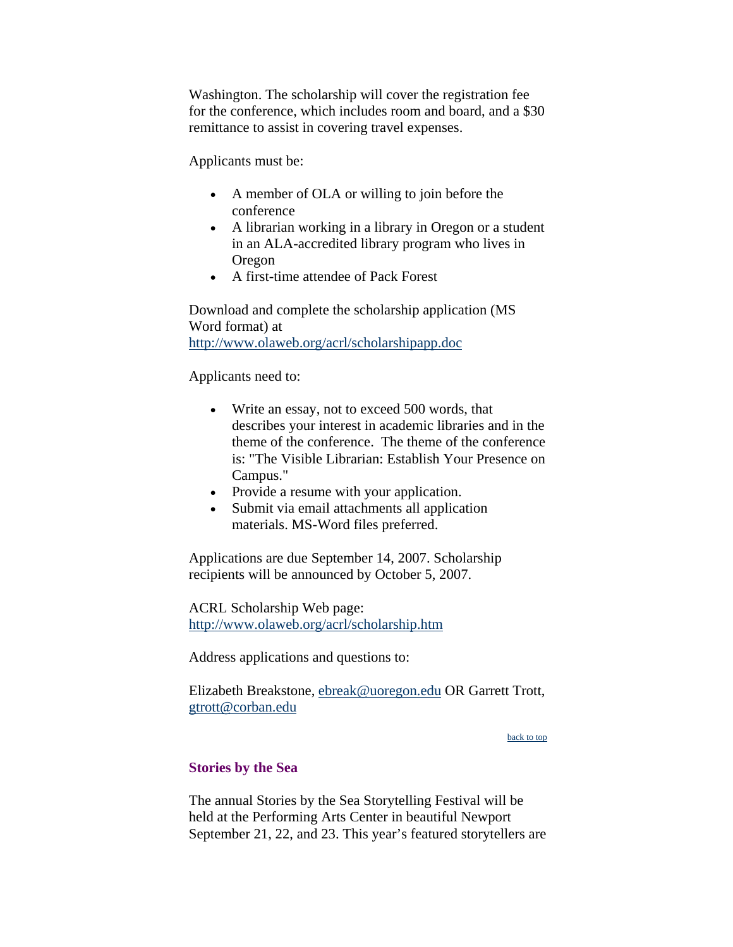<span id="page-2-0"></span>Washington. The scholarship will cover the registration fee for the conference, which includes room and board, and a \$30 remittance to assist in covering travel expenses.

Applicants must be:

- A member of OLA or willing to join before the conference
- A librarian working in a library in Oregon or a student in an ALA-accredited library program who lives in Oregon
- A first-time attendee of Pack Forest

Download and complete the scholarship application (MS Word format) at <http://www.olaweb.org/acrl/scholarshipapp.doc>

Applicants need to:

- Write an essay, not to exceed 500 words, that describes your interest in academic libraries and in the theme of the conference. The theme of the conference is: "The Visible Librarian: Establish Your Presence on Campus."
- Provide a resume with your application.
- Submit via email attachments all application materials. MS-Word files preferred.

Applications are due September 14, 2007. Scholarship recipients will be announced by October 5, 2007.

ACRL Scholarship Web page: <http://www.olaweb.org/acrl/scholarship.htm>

Address applications and questions to:

Elizabeth Breakstone, [ebreak@uoregon.edu](mailto:ebreak@uoregon.edu) OR Garrett Trott, [gtrott@corban.edu](mailto:gtrott@corban.edu)

[back to top](#page-0-0)

# **Stories by the Sea**

The annual Stories by the Sea Storytelling Festival will be held at the Performing Arts Center in beautiful Newport September 21, 22, and 23. This year's featured storytellers are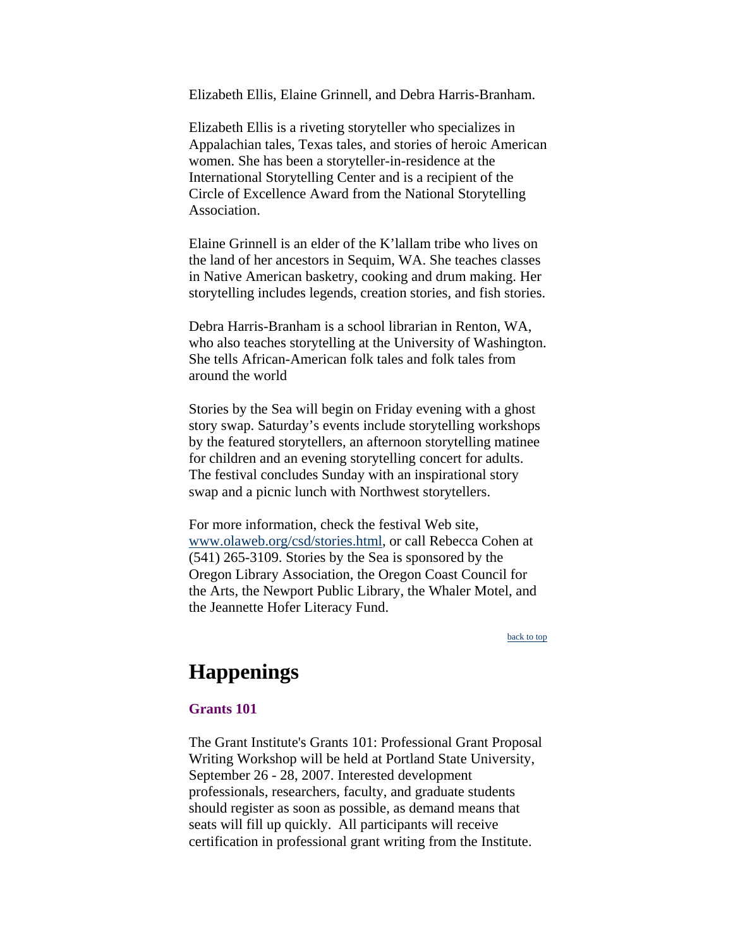<span id="page-3-0"></span>Elizabeth Ellis, Elaine Grinnell, and Debra Harris-Branham.

Elizabeth Ellis is a riveting storyteller who specializes in Appalachian tales, Texas tales, and stories of heroic American women. She has been a storyteller-in-residence at the International Storytelling Center and is a recipient of the Circle of Excellence Award from the National Storytelling Association.

Elaine Grinnell is an elder of the K'lallam tribe who lives on the land of her ancestors in Sequim, WA. She teaches classes in Native American basketry, cooking and drum making. Her storytelling includes legends, creation stories, and fish stories.

Debra Harris-Branham is a school librarian in Renton, WA, who also teaches storytelling at the University of Washington. She tells African-American folk tales and folk tales from around the world

Stories by the Sea will begin on Friday evening with a ghost story swap. Saturday's events include storytelling workshops by the featured storytellers, an afternoon storytelling matinee for children and an evening storytelling concert for adults. The festival concludes Sunday with an inspirational story swap and a picnic lunch with Northwest storytellers.

For more information, check the festival Web site, www.olaweb.org/csd/stories.html, or call Rebecca Cohen at (541) 265-3109. Stories by the Sea is sponsored by the Oregon Library Association, the Oregon Coast Council for the Arts, the Newport Public Library, the Whaler Motel, and the Jeannette Hofer Literacy Fund.

[back to top](#page-0-0)

# **Happenings**

#### **Grants 101**

The Grant Institute's Grants 101: Professional Grant Proposal Writing Workshop will be held at Portland State University, September 26 - 28, 2007. Interested development professionals, researchers, faculty, and graduate students should register as soon as possible, as demand means that seats will fill up quickly. All participants will receive certification in professional grant writing from the Institute.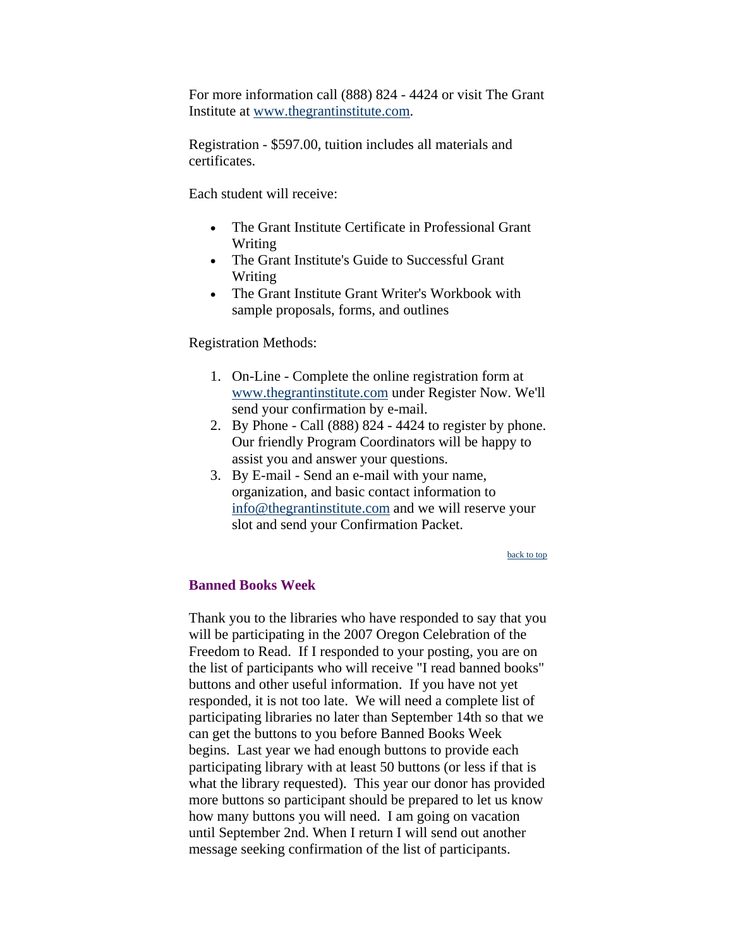<span id="page-4-0"></span>For more information call (888) 824 - 4424 or visit The Grant Institute at [www.thegrantinstitute.com.](http://www.thegrantinstitute.com/)

Registration - \$597.00, tuition includes all materials and certificates.

Each student will receive:

- The Grant Institute Certificate in Professional Grant Writing
- The Grant Institute's Guide to Successful Grant Writing
- The Grant Institute Grant Writer's Workbook with sample proposals, forms, and outlines

Registration Methods:

- 1. On-Line Complete the online registration form at [www.thegrantinstitute.com](http://www.thegrantinstitute.com/) under Register Now. We'll send your confirmation by e-mail.
- 2. By Phone Call (888) 824 4424 to register by phone. Our friendly Program Coordinators will be happy to assist you and answer your questions.
- 3. By E-mail Send an e-mail with your name, organization, and basic contact information to [info@thegrantinstitute.com](mailto:info@thegrantinstitute.com) and we will reserve your slot and send your Confirmation Packet.

[back to top](#page-0-0)

### **Banned Books Week**

Thank you to the libraries who have responded to say that you will be participating in the 2007 Oregon Celebration of the Freedom to Read. If I responded to your posting, you are on the list of participants who will receive "I read banned books" buttons and other useful information. If you have not yet responded, it is not too late. We will need a complete list of participating libraries no later than September 14th so that we can get the buttons to you before Banned Books Week begins. Last year we had enough buttons to provide each participating library with at least 50 buttons (or less if that is what the library requested). This year our donor has provided more buttons so participant should be prepared to let us know how many buttons you will need. I am going on vacation until September 2nd. When I return I will send out another message seeking confirmation of the list of participants.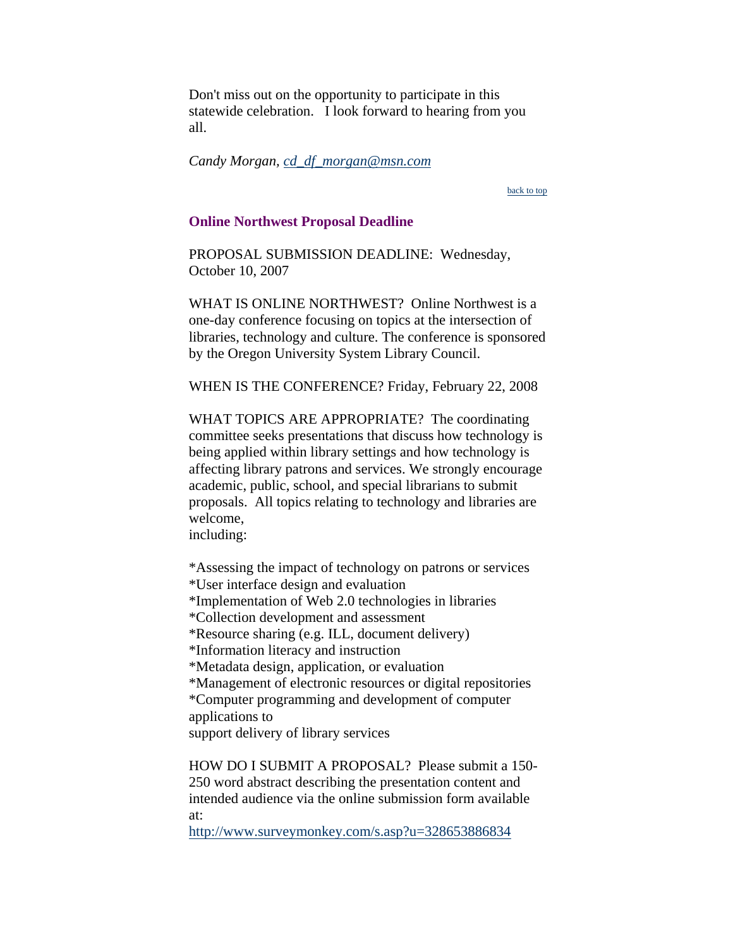<span id="page-5-0"></span>Don't miss out on the opportunity to participate in this statewide celebration. I look forward to hearing from you all.

*Candy Morgan, [cd\\_df\\_morgan@msn.com](mailto:cd_df_morgan@msn.com)*

[back to top](#page-0-0)

#### **Online Northwest Proposal Deadline**

PROPOSAL SUBMISSION DEADLINE: Wednesday, October 10, 2007

WHAT IS ONLINE NORTHWEST? Online Northwest is a one-day conference focusing on topics at the intersection of libraries, technology and culture. The conference is sponsored by the Oregon University System Library Council.

WHEN IS THE CONFERENCE? Friday, February 22, 2008

WHAT TOPICS ARE APPROPRIATE? The coordinating committee seeks presentations that discuss how technology is being applied within library settings and how technology is affecting library patrons and services. We strongly encourage academic, public, school, and special librarians to submit proposals. All topics relating to technology and libraries are welcome,

including:

\*Assessing the impact of technology on patrons or services \*User interface design and evaluation \*Implementation of Web 2.0 technologies in libraries \*Collection development and assessment \*Resource sharing (e.g. ILL, document delivery) \*Information literacy and instruction \*Metadata design, application, or evaluation \*Management of electronic resources or digital repositories \*Computer programming and development of computer applications to support delivery of library services

HOW DO I SUBMIT A PROPOSAL? Please submit a 150- 250 word abstract describing the presentation content and intended audience via the online submission form available at:

<http://www.surveymonkey.com/s.asp?u=328653886834>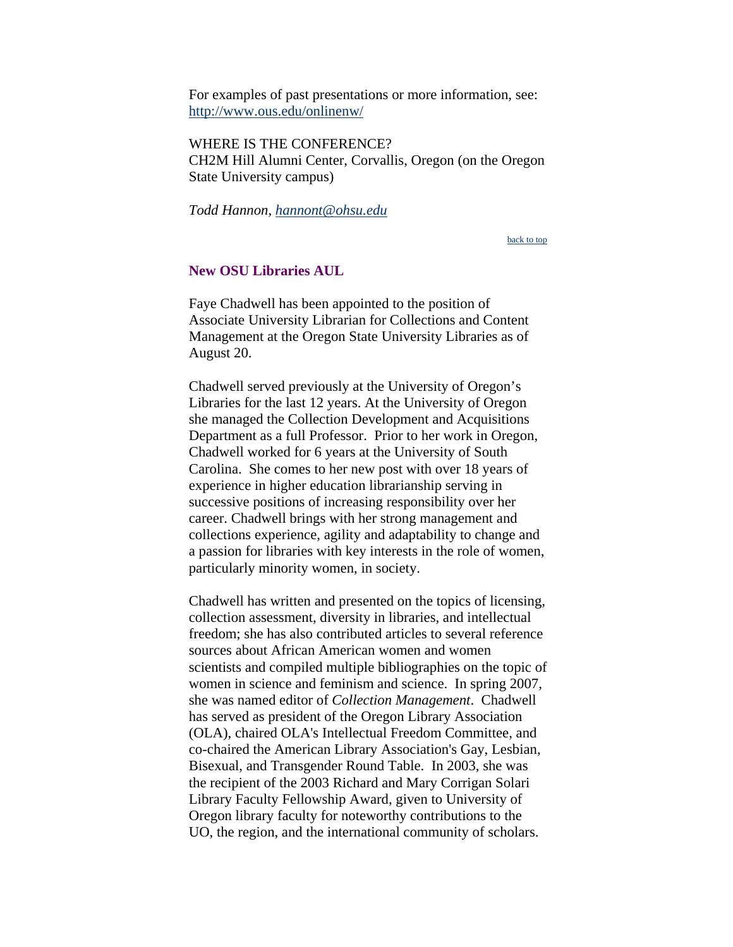<span id="page-6-0"></span>For examples of past presentations or more information, see: <http://www.ous.edu/onlinenw/>

WHERE IS THE CONFERENCE? CH2M Hill Alumni Center, Corvallis, Oregon (on the Oregon State University campus)

*Todd Hannon, [hannont@ohsu.edu](mailto:hannont%40ohsu.edu)*

[back to top](#page-0-0)

#### **New OSU Libraries AUL**

Faye Chadwell has been appointed to the position of Associate University Librarian for Collections and Content Management at the Oregon State University Libraries as of August 20.

Chadwell served previously at the University of Oregon's Libraries for the last 12 years. At the University of Oregon she managed the Collection Development and Acquisitions Department as a full Professor. Prior to her work in Oregon, Chadwell worked for 6 years at the University of South Carolina. She comes to her new post with over 18 years of experience in higher education librarianship serving in successive positions of increasing responsibility over her career. Chadwell brings with her strong management and collections experience, agility and adaptability to change and a passion for libraries with key interests in the role of women, particularly minority women, in society.

Chadwell has written and presented on the topics of licensing, collection assessment, diversity in libraries, and intellectual freedom; she has also contributed articles to several reference sources about African American women and women scientists and compiled multiple bibliographies on the topic of women in science and feminism and science. In spring 2007, she was named editor of *Collection Management*. Chadwell has served as president of the Oregon Library Association (OLA), chaired OLA's Intellectual Freedom Committee, and co-chaired the American Library Association's Gay, Lesbian, Bisexual, and Transgender Round Table. In 2003, she was the recipient of the 2003 Richard and Mary Corrigan Solari Library Faculty Fellowship Award, given to University of Oregon library faculty for noteworthy contributions to the UO, the region, and the international community of scholars.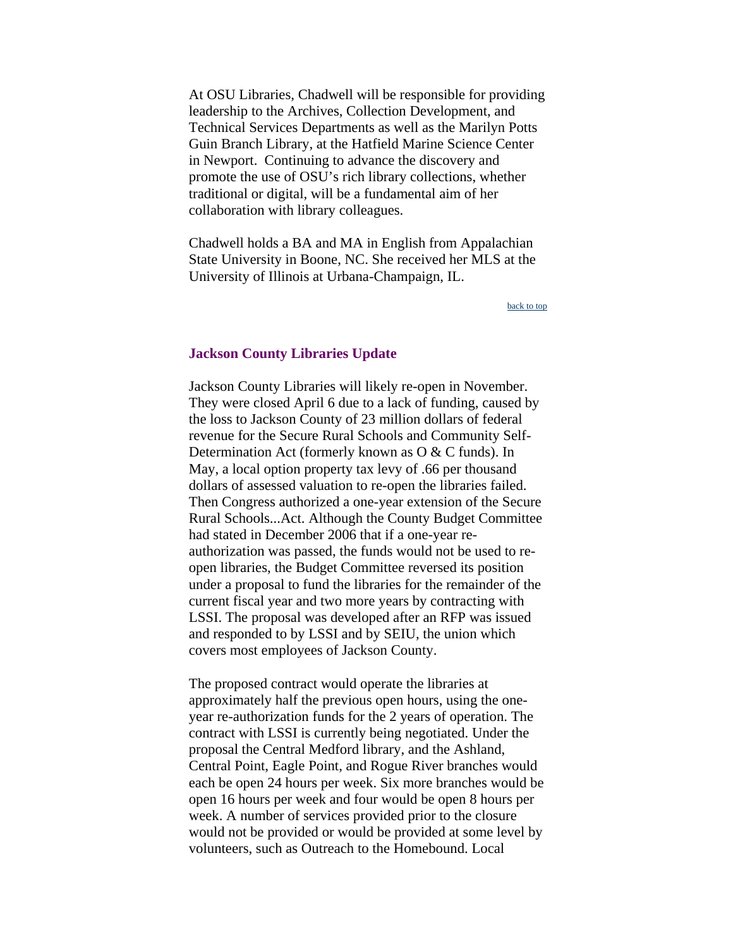<span id="page-7-0"></span>At OSU Libraries, Chadwell will be responsible for providing leadership to the Archives, Collection Development, and Technical Services Departments as well as the Marilyn Potts Guin Branch Library, at the Hatfield Marine Science Center in Newport. Continuing to advance the discovery and promote the use of OSU's rich library collections, whether traditional or digital, will be a fundamental aim of her collaboration with library colleagues.

Chadwell holds a BA and MA in English from Appalachian State University in Boone, NC. She received her MLS at the University of Illinois at Urbana-Champaign, IL.

[back to top](#page-0-0)

#### **Jackson County Libraries Update**

Jackson County Libraries will likely re-open in November. They were closed April 6 due to a lack of funding, caused by the loss to Jackson County of 23 million dollars of federal revenue for the Secure Rural Schools and Community Self-Determination Act (formerly known as O & C funds). In May, a local option property tax levy of .66 per thousand dollars of assessed valuation to re-open the libraries failed. Then Congress authorized a one-year extension of the Secure Rural Schools...Act. Although the County Budget Committee had stated in December 2006 that if a one-year reauthorization was passed, the funds would not be used to reopen libraries, the Budget Committee reversed its position under a proposal to fund the libraries for the remainder of the current fiscal year and two more years by contracting with LSSI. The proposal was developed after an RFP was issued and responded to by LSSI and by SEIU, the union which covers most employees of Jackson County.

The proposed contract would operate the libraries at approximately half the previous open hours, using the oneyear re-authorization funds for the 2 years of operation. The contract with LSSI is currently being negotiated. Under the proposal the Central Medford library, and the Ashland, Central Point, Eagle Point, and Rogue River branches would each be open 24 hours per week. Six more branches would be open 16 hours per week and four would be open 8 hours per week. A number of services provided prior to the closure would not be provided or would be provided at some level by volunteers, such as Outreach to the Homebound. Local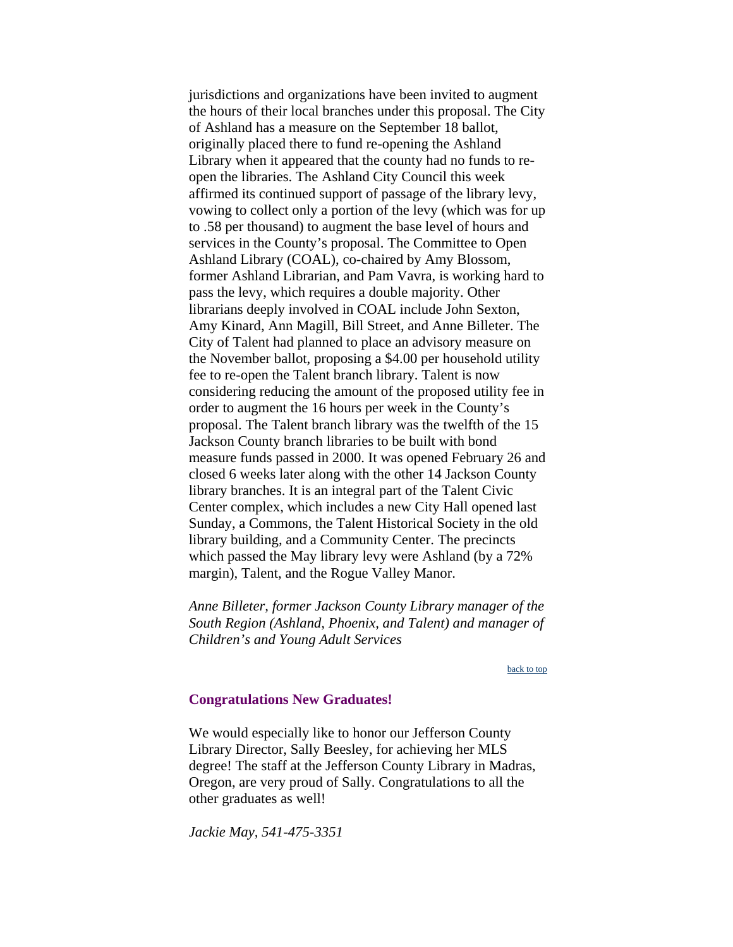<span id="page-8-0"></span>jurisdictions and organizations have been invited to augment the hours of their local branches under this proposal. The City of Ashland has a measure on the September 18 ballot, originally placed there to fund re-opening the Ashland Library when it appeared that the county had no funds to reopen the libraries. The Ashland City Council this week affirmed its continued support of passage of the library levy, vowing to collect only a portion of the levy (which was for up to .58 per thousand) to augment the base level of hours and services in the County's proposal. The Committee to Open Ashland Library (COAL), co-chaired by Amy Blossom, former Ashland Librarian, and Pam Vavra, is working hard to pass the levy, which requires a double majority. Other librarians deeply involved in COAL include John Sexton, Amy Kinard, Ann Magill, Bill Street, and Anne Billeter. The City of Talent had planned to place an advisory measure on the November ballot, proposing a \$4.00 per household utility fee to re-open the Talent branch library. Talent is now considering reducing the amount of the proposed utility fee in order to augment the 16 hours per week in the County's proposal. The Talent branch library was the twelfth of the 15 Jackson County branch libraries to be built with bond measure funds passed in 2000. It was opened February 26 and closed 6 weeks later along with the other 14 Jackson County library branches. It is an integral part of the Talent Civic Center complex, which includes a new City Hall opened last Sunday, a Commons, the Talent Historical Society in the old library building, and a Community Center. The precincts which passed the May library levy were Ashland (by a 72% margin), Talent, and the Rogue Valley Manor.

*Anne Billeter, former Jackson County Library manager of the South Region (Ashland, Phoenix, and Talent) and manager of Children's and Young Adult Services*

#### [back to top](#page-0-0)

#### **Congratulations New Graduates!**

We would especially like to honor our Jefferson County Library Director, Sally Beesley, for achieving her MLS degree! The staff at the Jefferson County Library in Madras, Oregon, are very proud of Sally. Congratulations to all the other graduates as well!

*Jackie May, 541-475-3351*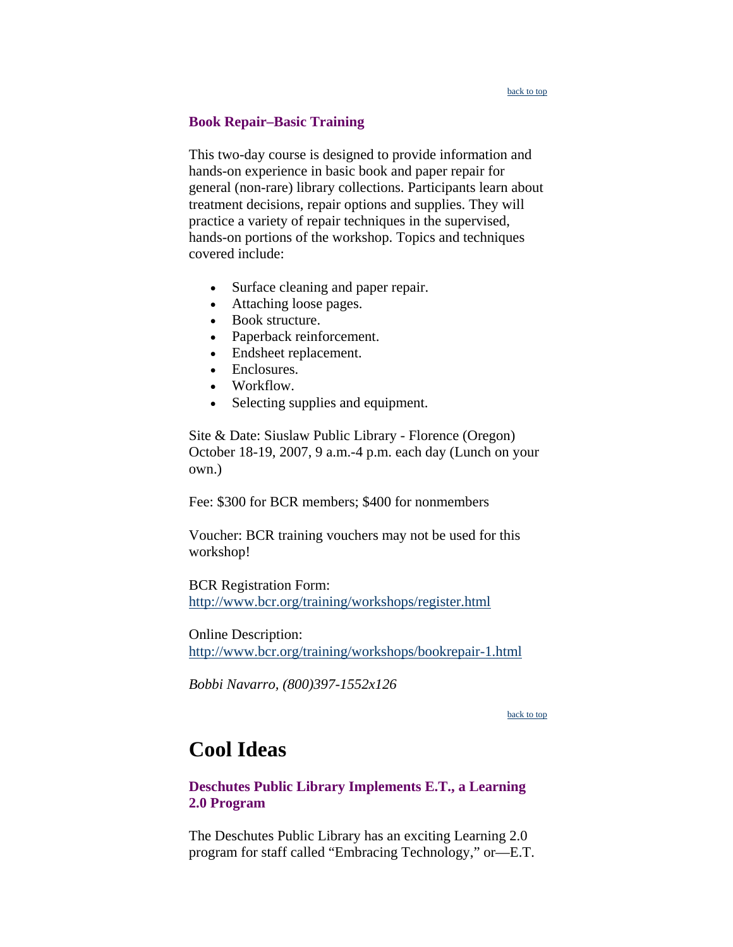#### [back to top](#page-0-0)

### <span id="page-9-0"></span>**Book Repair–Basic Training**

This two-day course is designed to provide information and hands-on experience in basic book and paper repair for general (non-rare) library collections. Participants learn about treatment decisions, repair options and supplies. They will practice a variety of repair techniques in the supervised, hands-on portions of the workshop. Topics and techniques covered include:

- Surface cleaning and paper repair.
- Attaching loose pages.
- Book structure.
- Paperback reinforcement.
- Endsheet replacement.
- Enclosures.
- Workflow.
- Selecting supplies and equipment.

Site & Date: Siuslaw Public Library - Florence (Oregon) October 18-19, 2007, 9 a.m.-4 p.m. each day (Lunch on your own.)

Fee: \$300 for BCR members; \$400 for nonmembers

Voucher: BCR training vouchers may not be used for this workshop!

BCR Registration Form: <http://www.bcr.org/training/workshops/register.html>

Online Description: <http://www.bcr.org/training/workshops/bookrepair-1.html>

*Bobbi Navarro, (800)397-1552x126*

[back to top](#page-0-0)

# **Cool Ideas**

# **Deschutes Public Library Implements E.T., a Learning 2.0 Program**

The Deschutes Public Library has an exciting Learning 2.0 program for staff called "Embracing Technology," or—E.T.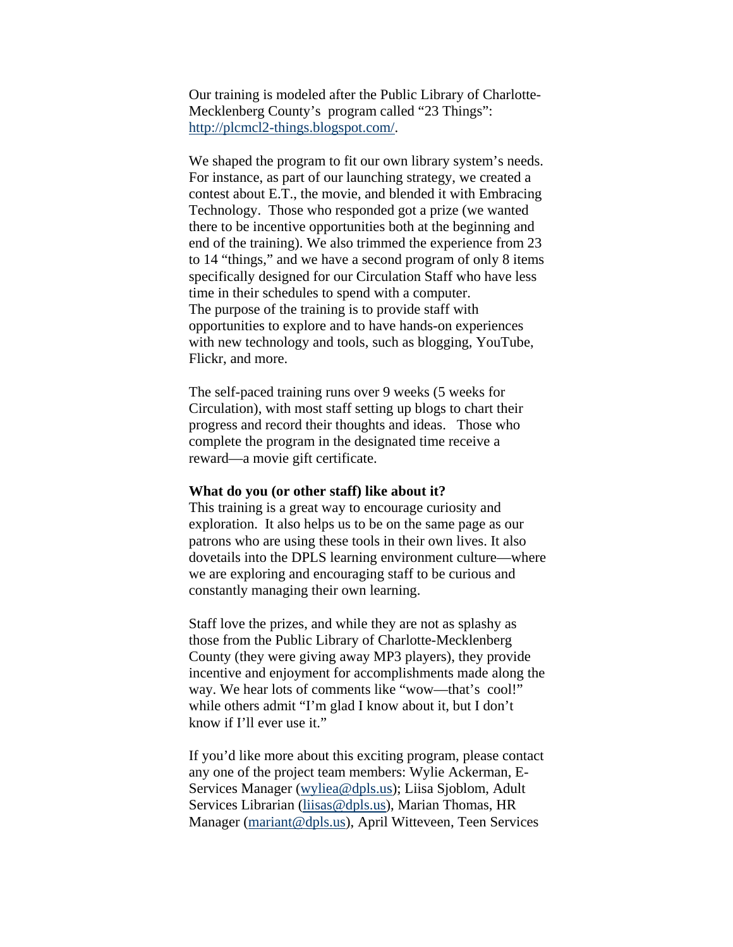Our training is modeled after the Public Library of Charlotte-Mecklenberg County's program called "23 Things": [http://plcmcl2-things.blogspot.com/.](http://plcmcl2-things.blogspot.com/)

We shaped the program to fit our own library system's needs. For instance, as part of our launching strategy, we created a contest about E.T., the movie, and blended it with Embracing Technology. Those who responded got a prize (we wanted there to be incentive opportunities both at the beginning and end of the training). We also trimmed the experience from 23 to 14 "things," and we have a second program of only 8 items specifically designed for our Circulation Staff who have less time in their schedules to spend with a computer. The purpose of the training is to provide staff with opportunities to explore and to have hands-on experiences with new technology and tools, such as blogging, YouTube, Flickr, and more.

The self-paced training runs over 9 weeks (5 weeks for Circulation), with most staff setting up blogs to chart their progress and record their thoughts and ideas. Those who complete the program in the designated time receive a reward—a movie gift certificate.

#### **What do you (or other staff) like about it?**

This training is a great way to encourage curiosity and exploration. It also helps us to be on the same page as our patrons who are using these tools in their own lives. It also dovetails into the DPLS learning environment culture—where we are exploring and encouraging staff to be curious and constantly managing their own learning.

Staff love the prizes, and while they are not as splashy as those from the Public Library of Charlotte-Mecklenberg County (they were giving away MP3 players), they provide incentive and enjoyment for accomplishments made along the way. We hear lots of comments like "wow—that's cool!" while others admit "I'm glad I know about it, but I don't know if I'll ever use it."

If you'd like more about this exciting program, please contact any one of the project team members: Wylie Ackerman, E-Services Manager [\(wyliea@dpls.us\)](mailto:wyliea@dpls.us); Liisa Sjoblom, Adult Services Librarian [\(liisas@dpls.us](mailto:liisas@dpls.us)), Marian Thomas, HR Manager [\(mariant@dpls.us\)](mailto:mariant@dpls.us), April Witteveen, Teen Services